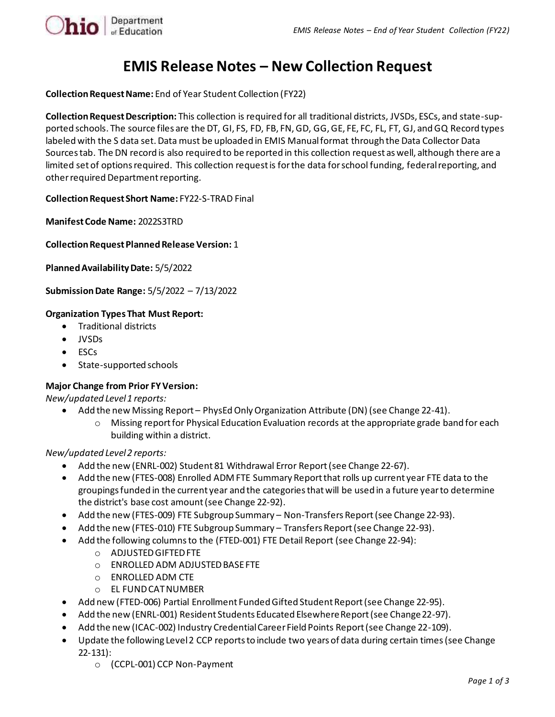

# **EMIS Release Notes – New Collection Request**

**Collection Request Name:** End of Year Student Collection (FY22)

**Collection Request Description:** This collection is required for all traditional districts, JVSDs, ESCs, and state-supported schools. The source files are the DT, GI, FS, FD, FB, FN, GD, GG, GE, FE, FC, FL, FT, GJ, and GQ Record types labeled with the S data set. Data must be uploaded in EMIS Manual format through the Data Collector Data Sources tab. The DN record is also required to be reported in this collection request as well, although there are a limited set of options required. This collection request is for the data for school funding, federal reporting, and other required Department reporting.

**Collection Request Short Name:** FY22-S-TRAD Final

**Manifest Code Name:** 2022S3TRD

**Collection Request Planned Release Version:** 1

**Planned Availability Date:** 5/5/2022

**Submission Date Range:** 5/5/2022 – 7/13/2022

#### **Organization Types That Must Report:**

- Traditional districts
- JVSDs
- ESCs
- State-supported schools

#### **Major Change from Prior FY Version:**

*New/updated Level 1 reports:*

- Add the new Missing Report PhysEd Only Organization Attribute (DN) (see Change 22-41).
	- o Missing report for Physical Education Evaluation records at the appropriate grade band for each building within a district.

*New/updated Level 2 reports:*

- Add the new (ENRL-002) Student 81 Withdrawal Error Report(see Change 22-67).
- Add the new (FTES-008) Enrolled ADM FTE Summary Report that rolls up current year FTE data to the groupings funded in the current year and the categories that will be used in a future year to determine the district's base cost amount (see Change 22-92).
- Add the new (FTES-009) FTE Subgroup Summary Non-Transfers Report (see Change 22-93).
- Add the new (FTES-010) FTE Subgroup Summary Transfers Report (see Change 22-93).
- Add the following columns to the (FTED-001) FTE Detail Report (see Change 22-94):
	- o ADJUSTED GIFTED FTE
	- o ENROLLED ADM ADJUSTED BASE FTE
	- o ENROLLED ADM CTE
	- o EL FUND CAT NUMBER
- Add new (FTED-006) Partial Enrollment Funded Gifted Student Report (see Change 22-95).
- Add the new (ENRL-001) Resident Students Educated Elsewhere Report (see Change 22-97).
- Add the new (ICAC-002) Industry Credential Career Field Points Report (see Change 22-109).
- Update the following Level 2 CCP reports to include two years of data during certain times (see Change 22-131):
	- o (CCPL-001) CCP Non-Payment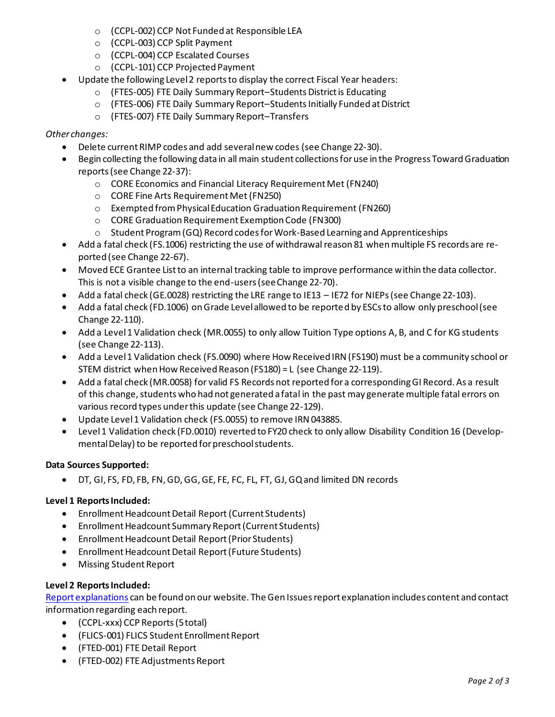- o (CCPL-002) CCP Not Funded at Responsible LEA
- o (CCPL-003) CCP Split Payment
- o (CCPL-004) CCP Escalated Courses
- o (CCPL-101) CCP Projected Payment
- Update the following Level 2 reports to display the correct Fiscal Year headers:
	- o (FTES-005) FTE Daily Summary Report–Students District is Educating
	- o (FTES-006) FTE Daily Summary Report–Students Initially Funded at District
	- o (FTES-007) FTE Daily Summary Report–Transfers

#### *Other changes:*

- Delete current RIMP codes and add several new codes (see Change 22-30).
- Begin collecting the following data in all main student collections for use in the Progress Toward Graduation reports(see Change 22-37):
	- o CORE Economics and Financial Literacy Requirement Met (FN240)
	- o CORE Fine Arts Requirement Met(FN250)
	- o Exempted from Physical Education Graduation Requirement (FN260)
	- o CORE Graduation Requirement Exemption Code (FN300)
	- $\circ$  Student Program (GQ) Record codes for Work-Based Learning and Apprenticeships
- Add a fatal check (FS.1006) restricting the use of withdrawal reason 81 when multiple FS records are reported (see Change 22-67).
- Moved ECE Grantee List to an internal tracking table to improve performance within the data collector. This is not a visible change to the end-users (see Change 22-70).
- Add a fatal check (GE.0028) restricting the LRE range to IE13 IE72 for NIEPs (see Change 22-103).
- Add a fatal check (FD.1006) on Grade Level allowed to be reported by ESCs to allow only preschool (see Change 22-110).
- Add a Level 1 Validation check (MR.0055) to only allow Tuition Type options A, B, and C for KG students (see Change 22-113).
- Add a Level 1 Validation check (FS.0090) where How Received IRN (FS190) must be a community school or STEM district when How Received Reason (FS180) = L (see Change 22-119).
- Add a fatal check (MR.0058) for valid FS Records not reported for a corresponding GI Record. As a result of this change, students who had not generated a fatal in the past may generate multiple fatal errors on various record types under this update (see Change 22-129).
- Update Level 1 Validation check (FS.0055) to remove IRN 043885.
- Level 1 Validation check (FD.0010) reverted to FY20 check to only allow Disability Condition 16 (Developmental Delay) to be reported for preschool students.

## **Data Sources Supported:**

• DT, GI, FS, FD, FB, FN, GD, GG, GE, FE, FC, FL, FT, GJ, GQ and limited DN records

## **Level 1 Reports Included:**

- Enrollment Headcount Detail Report (Current Students)
- Enrollment Headcount Summary Report (Current Students)
- Enrollment Headcount Detail Report (Prior Students)
- Enrollment Headcount Detail Report (Future Students)
- Missing Student Report

## **Level 2 Reports Included:**

[Report explanations](https://education.ohio.gov/Topics/Data/EMIS/EMIS-Documentation/FY16-EMIS-Validation-and-Report-Explanation-Docume) can be found on our website. The Gen Issues report explanation includes content and contact information regarding each report.

- (CCPL-xxx) CCP Reports (5 total)
- (FLICS-001) FLICS Student Enrollment Report
- (FTED-001) FTE Detail Report
- (FTED-002) FTE Adjustments Report